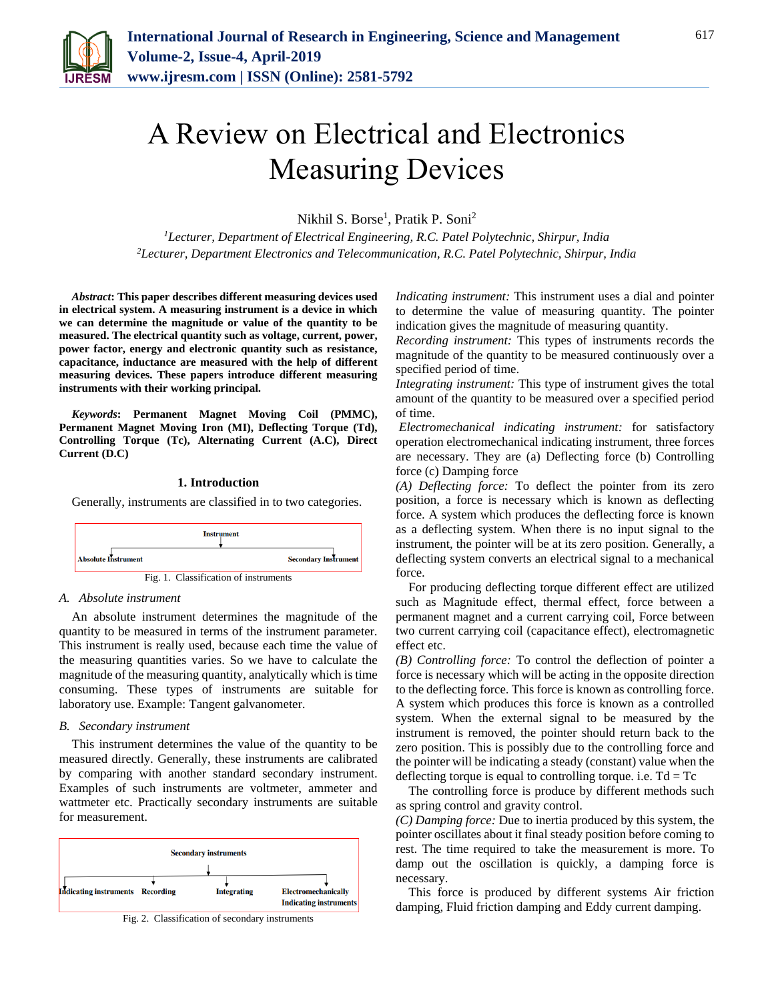

# A Review on Electrical and Electronics Measuring Devices

Nikhil S. Borse<sup>1</sup>, Pratik P. Soni<sup>2</sup>

*<sup>1</sup>Lecturer, Department of Electrical Engineering, R.C. Patel Polytechnic, Shirpur, India <sup>2</sup>Lecturer, Department Electronics and Telecommunication, R.C. Patel Polytechnic, Shirpur, India*

*Abstract***: This paper describes different measuring devices used in electrical system. A measuring instrument is a device in which we can determine the magnitude or value of the quantity to be measured. The electrical quantity such as voltage, current, power, power factor, energy and electronic quantity such as resistance, capacitance, inductance are measured with the help of different measuring devices. These papers introduce different measuring instruments with their working principal.**

*Keywords***: Permanent Magnet Moving Coil (PMMC), Permanent Magnet Moving Iron (MI), Deflecting Torque (Td), Controlling Torque (Tc), Alternating Current (A.C), Direct Current (D.C)**

#### **1. Introduction**

Generally, instruments are classified in to two categories.



## *A. Absolute instrument*

An absolute instrument determines the magnitude of the quantity to be measured in terms of the instrument parameter. This instrument is really used, because each time the value of the measuring quantities varies. So we have to calculate the magnitude of the measuring quantity, analytically which is time consuming. These types of instruments are suitable for laboratory use. Example: Tangent galvanometer.

## *B. Secondary instrument*

This instrument determines the value of the quantity to be measured directly. Generally, these instruments are calibrated by comparing with another standard secondary instrument. Examples of such instruments are voltmeter, ammeter and wattmeter etc. Practically secondary instruments are suitable for measurement.





*Indicating instrument:* This instrument uses a dial and pointer to determine the value of measuring quantity. The pointer indication gives the magnitude of measuring quantity.

*Recording instrument:* This types of instruments records the magnitude of the quantity to be measured continuously over a specified period of time.

*Integrating instrument:* This type of instrument gives the total amount of the quantity to be measured over a specified period of time.

*Electromechanical indicating instrument:* for satisfactory operation electromechanical indicating instrument, three forces are necessary. They are (a) Deflecting force (b) Controlling force (c) Damping force

*(A) Deflecting force:* To deflect the pointer from its zero position, a force is necessary which is known as deflecting force. A system which produces the deflecting force is known as a deflecting system. When there is no input signal to the instrument, the pointer will be at its zero position. Generally, a deflecting system converts an electrical signal to a mechanical force.

For producing deflecting torque different effect are utilized such as Magnitude effect, thermal effect, force between a permanent magnet and a current carrying coil, Force between two current carrying coil (capacitance effect), electromagnetic effect etc.

*(B) Controlling force:* To control the deflection of pointer a force is necessary which will be acting in the opposite direction to the deflecting force. This force is known as controlling force. A system which produces this force is known as a controlled system. When the external signal to be measured by the instrument is removed, the pointer should return back to the zero position. This is possibly due to the controlling force and the pointer will be indicating a steady (constant) value when the deflecting torque is equal to controlling torque. i.e.  $Td = Tc$ 

The controlling force is produce by different methods such as spring control and gravity control.

*(C) Damping force:* Due to inertia produced by this system, the pointer oscillates about it final steady position before coming to rest. The time required to take the measurement is more. To damp out the oscillation is quickly, a damping force is necessary.

This force is produced by different systems Air friction damping, Fluid friction damping and Eddy current damping.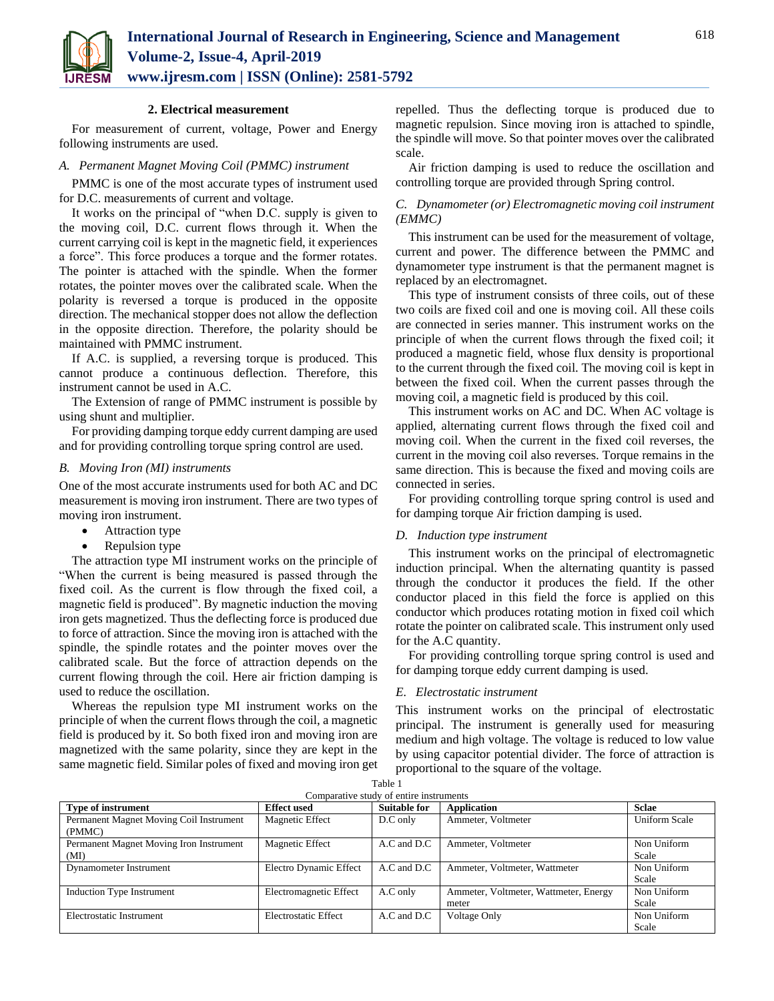

# **2. Electrical measurement**

For measurement of current, voltage, Power and Energy following instruments are used.

# *A. Permanent Magnet Moving Coil (PMMC) instrument*

PMMC is one of the most accurate types of instrument used for D.C. measurements of current and voltage.

It works on the principal of "when D.C. supply is given to the moving coil, D.C. current flows through it. When the current carrying coil is kept in the magnetic field, it experiences a force". This force produces a torque and the former rotates. The pointer is attached with the spindle. When the former rotates, the pointer moves over the calibrated scale. When the polarity is reversed a torque is produced in the opposite direction. The mechanical stopper does not allow the deflection in the opposite direction. Therefore, the polarity should be maintained with PMMC instrument.

If A.C. is supplied, a reversing torque is produced. This cannot produce a continuous deflection. Therefore, this instrument cannot be used in A.C.

The Extension of range of PMMC instrument is possible by using shunt and multiplier.

For providing damping torque eddy current damping are used and for providing controlling torque spring control are used.

# *B. Moving Iron (MI) instruments*

One of the most accurate instruments used for both AC and DC measurement is moving iron instrument. There are two types of moving iron instrument.

- Attraction type
- Repulsion type

The attraction type MI instrument works on the principle of "When the current is being measured is passed through the fixed coil. As the current is flow through the fixed coil, a magnetic field is produced". By magnetic induction the moving iron gets magnetized. Thus the deflecting force is produced due to force of attraction. Since the moving iron is attached with the spindle, the spindle rotates and the pointer moves over the calibrated scale. But the force of attraction depends on the current flowing through the coil. Here air friction damping is used to reduce the oscillation.

Whereas the repulsion type MI instrument works on the principle of when the current flows through the coil, a magnetic field is produced by it. So both fixed iron and moving iron are magnetized with the same polarity, since they are kept in the same magnetic field. Similar poles of fixed and moving iron get repelled. Thus the deflecting torque is produced due to magnetic repulsion. Since moving iron is attached to spindle, the spindle will move. So that pointer moves over the calibrated scale.

Air friction damping is used to reduce the oscillation and controlling torque are provided through Spring control.

# *C. Dynamometer (or) Electromagnetic moving coil instrument (EMMC)*

This instrument can be used for the measurement of voltage, current and power. The difference between the PMMC and dynamometer type instrument is that the permanent magnet is replaced by an electromagnet.

This type of instrument consists of three coils, out of these two coils are fixed coil and one is moving coil. All these coils are connected in series manner. This instrument works on the principle of when the current flows through the fixed coil; it produced a magnetic field, whose flux density is proportional to the current through the fixed coil. The moving coil is kept in between the fixed coil. When the current passes through the moving coil, a magnetic field is produced by this coil.

This instrument works on AC and DC. When AC voltage is applied, alternating current flows through the fixed coil and moving coil. When the current in the fixed coil reverses, the current in the moving coil also reverses. Torque remains in the same direction. This is because the fixed and moving coils are connected in series.

For providing controlling torque spring control is used and for damping torque Air friction damping is used.

## *D. Induction type instrument*

This instrument works on the principal of electromagnetic induction principal. When the alternating quantity is passed through the conductor it produces the field. If the other conductor placed in this field the force is applied on this conductor which produces rotating motion in fixed coil which rotate the pointer on calibrated scale. This instrument only used for the A.C quantity.

For providing controlling torque spring control is used and for damping torque eddy current damping is used.

## *E. Electrostatic instrument*

This instrument works on the principal of electrostatic principal. The instrument is generally used for measuring medium and high voltage. The voltage is reduced to low value by using capacitor potential divider. The force of attraction is proportional to the square of the voltage.

| Comparative study of entire instruments |                        |                     |                                       |               |
|-----------------------------------------|------------------------|---------------------|---------------------------------------|---------------|
| <b>Type of instrument</b>               | <b>Effect used</b>     | <b>Suitable for</b> | <b>Application</b>                    | <b>Sclae</b>  |
| Permanent Magnet Moving Coil Instrument | <b>Magnetic Effect</b> | D.C only            | Ammeter, Voltmeter                    | Uniform Scale |
| (PMMC)                                  |                        |                     |                                       |               |
| Permanent Magnet Moving Iron Instrument | <b>Magnetic Effect</b> | A.C and D.C         | Ammeter, Voltmeter                    | Non Uniform   |
| (MI)                                    |                        |                     |                                       | Scale         |
| Dynamometer Instrument                  | Electro Dynamic Effect | A.C and D.C         | Ammeter, Voltmeter, Wattmeter         | Non Uniform   |
|                                         |                        |                     |                                       | Scale         |
| Induction Type Instrument               | Electromagnetic Effect | A.C only            | Ammeter, Voltmeter, Wattmeter, Energy | Non Uniform   |
|                                         |                        |                     | meter                                 | Scale         |
| Electrostatic Instrument                | Electrostatic Effect   | A.C and D.C         | Voltage Only                          | Non Uniform   |
|                                         |                        |                     |                                       | Scale         |

Table 1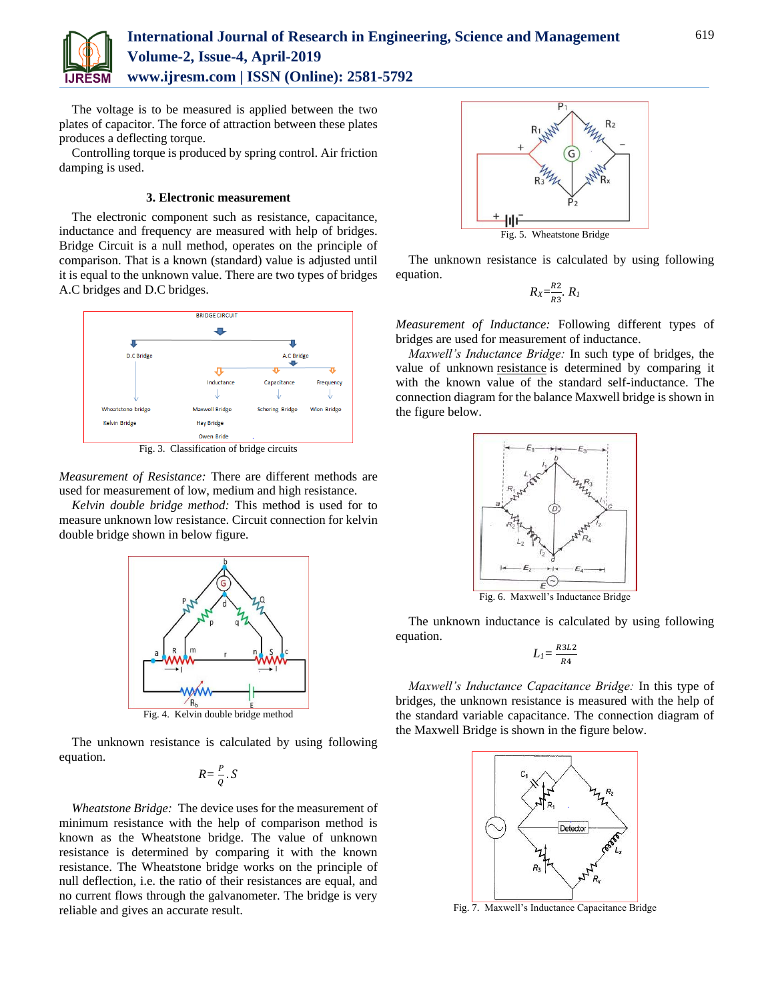

# **International Journal of Research in Engineering, Science and Management Volume-2, Issue-4, April-2019 www.ijresm.com | ISSN (Online): 2581-5792**

The voltage is to be measured is applied between the two plates of capacitor. The force of attraction between these plates produces a deflecting torque.

Controlling torque is produced by spring control. Air friction damping is used.

# **3. Electronic measurement**

The electronic component such as resistance, capacitance, inductance and frequency are measured with help of bridges. Bridge Circuit is a null method, operates on the principle of comparison. That is a known (standard) value is adjusted until it is equal to the unknown value. There are two types of bridges A.C bridges and D.C bridges.



Fig. 3. Classification of bridge circuits

*Measurement of Resistance:* There are different methods are used for measurement of low, medium and high resistance.

*Kelvin double bridge method:* This method is used for to measure unknown low resistance. Circuit connection for kelvin double bridge shown in below figure.



The unknown resistance is calculated by using following equation.

 $R = \frac{P}{Q} \cdot S$ 

*Wheatstone Bridge:* The device uses for the measurement of minimum resistance with the help of comparison method is known as the Wheatstone bridge. The value of unknown resistance is determined by comparing it with the known resistance. The Wheatstone bridge works on the principle of null deflection, i.e. the ratio of their resistances are equal, and no current flows through the galvanometer. The bridge is very reliable and gives an accurate result.



The unknown resistance is calculated by using following equation.

$$
R_X = \frac{R_2}{R_3} R_I
$$

*Measurement of Inductance:* Following different types of bridges are used for measurement of inductance.

*Maxwell's Inductance Bridge:* In such type of bridges, the value of unknown [resistance](https://circuitglobe.com/what-is-a-resistance.html) is determined by comparing it with the known value of the standard self-inductance. The connection diagram for the balance Maxwell bridge is shown in the figure below.



The unknown inductance is calculated by using following equation.

$$
L_l = \frac{R3L2}{R4}
$$

*Maxwell's Inductance Capacitance Bridge:* In this type of bridges, the unknown resistance is measured with the help of the standard variable capacitance. The connection diagram of the Maxwell Bridge is shown in the figure below.

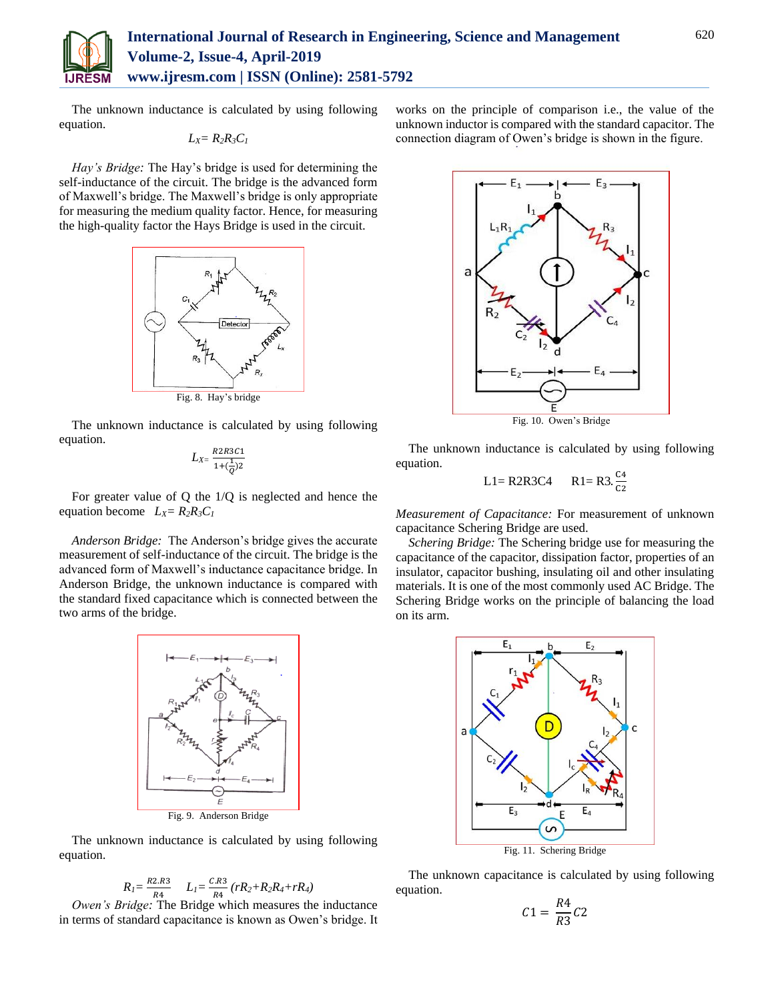

The unknown inductance is calculated by using following equation.

$$
L_X=R_2R_3C_1
$$

*Hay's Bridge:* The Hay's bridge is used for determining the self-inductance of the circuit. The bridge is the advanced form of Maxwell's bridge. The Maxwell's bridge is only appropriate for measuring the medium quality factor. Hence, for measuring the high-quality factor the Hays Bridge is used in the circuit.



The unknown inductance is calculated by using following equation.

$$
L_{X}=\frac{R2R3C1}{1+(\frac{1}{Q})2}
$$

For greater value of Q the 1/Q is neglected and hence the equation become  $L_X = R_2 R_3 C_1$ 

*Anderson Bridge:* The Anderson's bridge gives the accurate measurement of self-inductance of the circuit. The bridge is the advanced form of Maxwell's inductance capacitance bridge. In Anderson Bridge, the unknown inductance is compared with the standard fixed capacitance which is connected between the two arms of the bridge.



The unknown inductance is calculated by using following equation.

$$
R_{I} = \frac{R2.R3}{R4} \qquad L_{I} = \frac{C.R3}{R4} \left( rR_{2} + R_{2}R_{4} + rR_{4} \right)
$$

*Owen's Bridge:* The Bridge which measures the inductance in terms of standard capacitance is known as Owen's bridge. It

works on the principle of comparison i.e., the value of the unknown inductor is compared with the standard capacitor. The connection diagram of Owen's bridge is shown in the figure.



The unknown inductance is calculated by using following equation.

$$
L1 = R2R3C4 \qquad R1 = R3.\frac{c_4}{c_2}
$$

*Measurement of Capacitance:* For measurement of unknown capacitance Schering Bridge are used.

*Schering Bridge:* The Schering bridge use for measuring the capacitance of the capacitor, dissipation factor, properties of an insulator, capacitor bushing, insulating oil and other insulating materials. It is one of the most commonly used AC Bridge. The Schering Bridge works on the principle of balancing the load on its arm.



The unknown capacitance is calculated by using following equation.

$$
C1 = \frac{R4}{R3}C2
$$